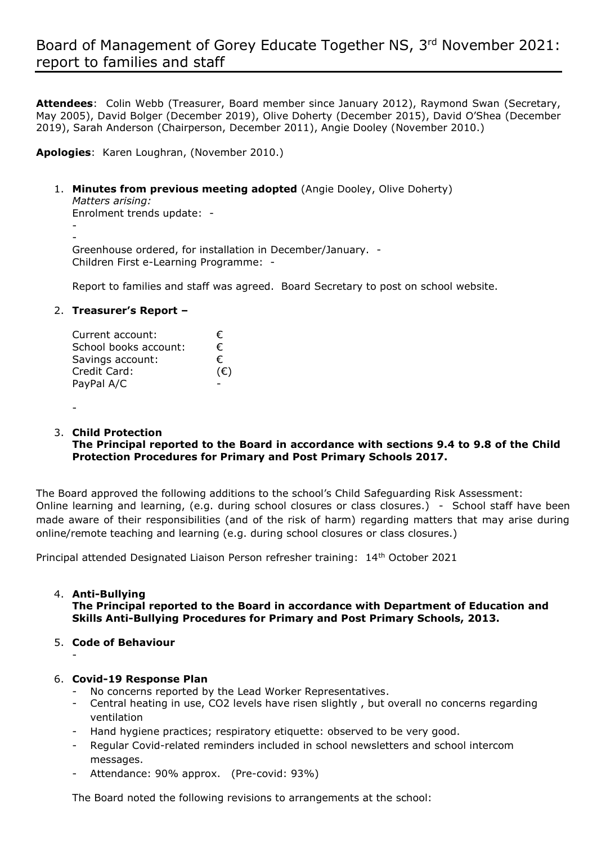# Board of Management of Gorey Educate Together NS, 3 rd November 2021: report to families and staff

**Attendees**: Colin Webb (Treasurer, Board member since January 2012), Raymond Swan (Secretary, May 2005), David Bolger (December 2019), Olive Doherty (December 2015), David O'Shea (December 2019), Sarah Anderson (Chairperson, December 2011), Angie Dooley (November 2010.)

**Apologies**: Karen Loughran, (November 2010.)

1. **Minutes from previous meeting adopted** (Angie Dooley, Olive Doherty)

*Matters arising:*

Enrolment trends update: -

-

- Greenhouse ordered, for installation in December/January. - Children First e-Learning Programme: -

Report to families and staff was agreed. Board Secretary to post on school website.

#### 2. **Treasurer's Report –**

| Current account:      | €   |
|-----------------------|-----|
| School books account: | €   |
| Savings account:      | €   |
| Credit Card:          | (E) |
| PayPal A/C            |     |

-

#### 3. **Child Protection**

**The Principal reported to the Board in accordance with sections 9.4 to 9.8 of the Child Protection Procedures for Primary and Post Primary Schools 2017.**

The Board approved the following additions to the school's Child Safeguarding Risk Assessment: Online learning and learning, (e.g. during school closures or class closures.) - School staff have been made aware of their responsibilities (and of the risk of harm) regarding matters that may arise during online/remote teaching and learning (e.g. during school closures or class closures.)

Principal attended Designated Liaison Person refresher training: 14th October 2021

## 4. **Anti-Bullying The Principal reported to the Board in accordance with Department of Education and Skills Anti-Bullying Procedures for Primary and Post Primary Schools, 2013.**

5. **Code of Behaviour**

-

## 6. **Covid-19 Response Plan**

- No concerns reported by the Lead Worker Representatives.
- Central heating in use, CO2 levels have risen slightly , but overall no concerns regarding ventilation
- Hand hygiene practices; respiratory etiquette: observed to be very good.
- Regular Covid-related reminders included in school newsletters and school intercom messages.
- Attendance: 90% approx. (Pre-covid: 93%)

The Board noted the following revisions to arrangements at the school: